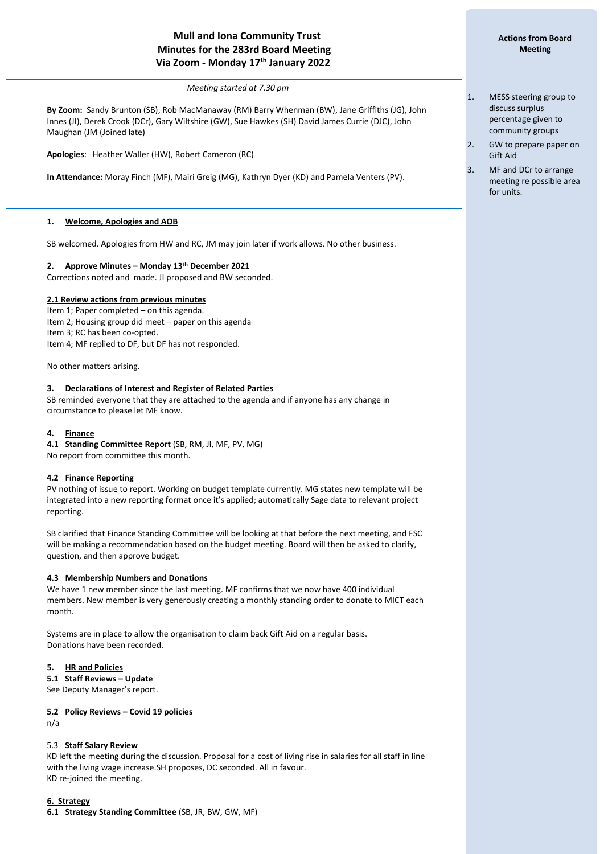# **Mull and Iona Community Trust Minutes for the 283rd Board Meeting Via Zoom - Monday 17 th January 2022**

*Meeting started at 7.30 pm*

**By Zoom:** Sandy Brunton (SB), Rob MacManaway (RM) Barry Whenman (BW), Jane Griffiths (JG), John Innes (JI), Derek Crook (DCr), Gary Wiltshire (GW), Sue Hawkes (SH) David James Currie (DJC), John Maughan (JM (Joined late)

**Apologies**: Heather Waller (HW), Robert Cameron (RC)

**In Attendance:** Moray Finch (MF), Mairi Greig (MG), Kathryn Dyer (KD) and Pamela Venters (PV).

### **1. Welcome, Apologies and AOB**

í

SB welcomed. Apologies from HW and RC, JM may join later if work allows. No other business.

### **2. Approve Minutes – Monday 13 th December 2021**

Corrections noted and made. JI proposed and BW seconded.

### **2.1 Review actions from previous minutes**

Item 1; Paper completed – on this agenda. Item 2; Housing group did meet – paper on this agenda Item 3; RC has been co-opted. Item 4; MF replied to DF, but DF has not responded.

No other matters arising.

#### **3. Declarations of Interest and Register of Related Parties**

SB reminded everyone that they are attached to the agenda and if anyone has any change in circumstance to please let MF know.

### **4. Finance**

**4.1 Standing Committee Report** (SB, RM, JI, MF, PV, MG) No report from committee this month.

#### **4.2 Finance Reporting**

PV nothing of issue to report. Working on budget template currently. MG states new template will be integrated into a new reporting format once it's applied; automatically Sage data to relevant project reporting.

SB clarified that Finance Standing Committee will be looking at that before the next meeting, and FSC will be making a recommendation based on the budget meeting. Board will then be asked to clarify, question, and then approve budget.

#### **4.3 Membership Numbers and Donations**

We have 1 new member since the last meeting. MF confirms that we now have 400 individual members. New member is very generously creating a monthly standing order to donate to MICT each month.

Systems are in place to allow the organisation to claim back Gift Aid on a regular basis. Donations have been recorded.

#### **5. HR and Policies**

**5.1 Staff Reviews – Update**

See Deputy Manager's report.

#### **5.2 Policy Reviews – Covid 19 policies**

n/a

#### 5.3 **Staff Salary Review**

KD left the meeting during the discussion. Proposal for a cost of living rise in salaries for all staff in line with the living wage increase.SH proposes, DC seconded. All in favour. KD re-joined the meeting.

#### **6. Strategy**

**6.1 Strategy Standing Committee** (SB, JR, BW, GW, MF)

- 1. MESS steering group to discuss surplus percentage given to community groups
- 2. GW to prepare paper on Gift Aid
- 3. MF and DCr to arrange meeting re possible area for units.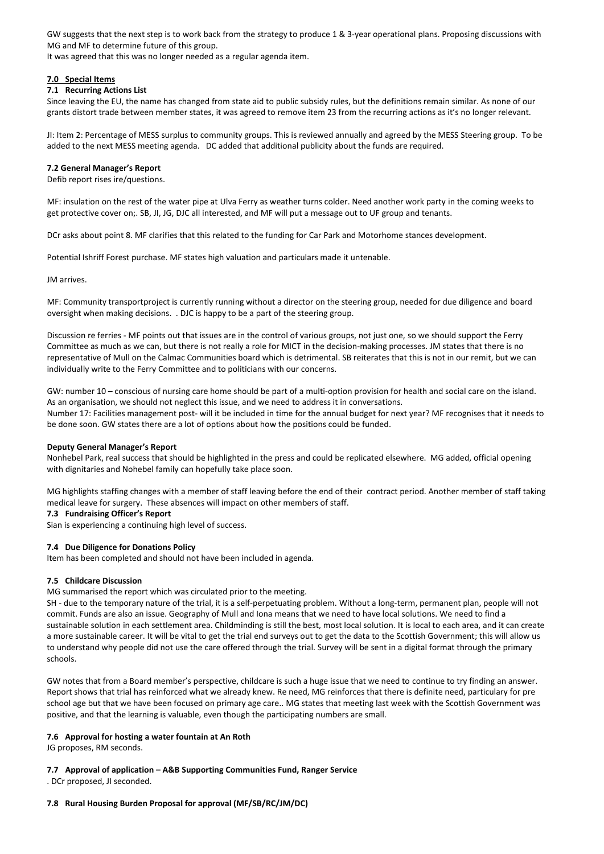GW suggests that the next step is to work back from the strategy to produce 1 & 3-year operational plans. Proposing discussions with MG and MF to determine future of this group.

It was agreed that this was no longer needed as a regular agenda item.

### **7.0 Special Items**

### **7.1 Recurring Actions List**

Since leaving the EU, the name has changed from state aid to public subsidy rules, but the definitions remain similar. As none of our grants distort trade between member states, it was agreed to remove item 23 from the recurring actions as it's no longer relevant.

JI: Item 2: Percentage of MESS surplus to community groups. This is reviewed annually and agreed by the MESS Steering group. To be added to the next MESS meeting agenda. DC added that additional publicity about the funds are required.

### **7.2 General Manager's Report**

Defib report rises ire/questions.

MF: insulation on the rest of the water pipe at Ulva Ferry as weather turns colder. Need another work party in the coming weeks to get protective cover on;. SB, JI, JG, DJC all interested, and MF will put a message out to UF group and tenants.

DCr asks about point 8. MF clarifies that this related to the funding for Car Park and Motorhome stances development.

Potential Ishriff Forest purchase. MF states high valuation and particulars made it untenable.

JM arrives.

MF: Community transportproject is currently running without a director on the steering group, needed for due diligence and board oversight when making decisions. . DJC is happy to be a part of the steering group.

Discussion re ferries - MF points out that issues are in the control of various groups, not just one, so we should support the Ferry Committee as much as we can, but there is not really a role for MICT in the decision-making processes. JM states that there is no representative of Mull on the Calmac Communities board which is detrimental. SB reiterates that this is not in our remit, but we can individually write to the Ferry Committee and to politicians with our concerns.

GW: number 10 – conscious of nursing care home should be part of a multi-option provision for health and social care on the island. As an organisation, we should not neglect this issue, and we need to address it in conversations. Number 17: Facilities management post- will it be included in time for the annual budget for next year? MF recognises that it needs to

be done soon. GW states there are a lot of options about how the positions could be funded.

#### **Deputy General Manager's Report**

Nonhebel Park, real success that should be highlighted in the press and could be replicated elsewhere. MG added, official opening with dignitaries and Nohebel family can hopefully take place soon.

MG highlights staffing changes with a member of staff leaving before the end of their contract period. Another member of staff taking medical leave for surgery. These absences will impact on other members of staff.

#### **7.3 Fundraising Officer's Report**

Sian is experiencing a continuing high level of success.

### **7.4 Due Diligence for Donations Policy**

Item has been completed and should not have been included in agenda.

### **7.5 Childcare Discussion**

MG summarised the report which was circulated prior to the meeting.

SH - due to the temporary nature of the trial, it is a self-perpetuating problem. Without a long-term, permanent plan, people will not commit. Funds are also an issue. Geography of Mull and Iona means that we need to have local solutions. We need to find a sustainable solution in each settlement area. Childminding is still the best, most local solution. It is local to each area, and it can create a more sustainable career. It will be vital to get the trial end surveys out to get the data to the Scottish Government; this will allow us to understand why people did not use the care offered through the trial. Survey will be sent in a digital format through the primary schools.

GW notes that from a Board member's perspective, childcare is such a huge issue that we need to continue to try finding an answer. Report shows that trial has reinforced what we already knew. Re need, MG reinforces that there is definite need, particulary for pre school age but that we have been focused on primary age care.. MG states that meeting last week with the Scottish Government was positive, and that the learning is valuable, even though the participating numbers are small.

#### **7.6 Approval for hosting a water fountain at An Roth**

JG proposes, RM seconds.

**7.7 Approval of application – A&B Supporting Communities Fund, Ranger Service**

. DCr proposed, JI seconded.

#### **7.8 Rural Housing Burden Proposal for approval (MF/SB/RC/JM/DC)**